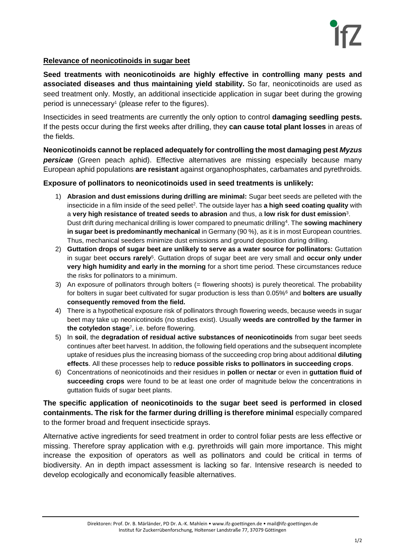

## **Relevance of neonicotinoids in sugar beet**

**Seed treatments with neonicotinoids are highly effective in controlling many pests and associated diseases and thus maintaining yield stability.** So far, neonicotinoids are used as seed treatment only. Mostly, an additional insecticide application in sugar beet during the growing period is unnecessary<sup>1</sup> (please refer to the figures).

Insecticides in seed treatments are currently the only option to control **damaging seedling pests.** If the pests occur during the first weeks after drilling, they **can cause total plant losses** in areas of the fields.

**Neonicotinoids cannot be replaced adequately for controlling the most damaging pest** *Myzus persicae* (Green peach aphid). Effective alternatives are missing especially because many European aphid populations **are resistant** against organophosphates, carbamates and pyrethroids.

## **Exposure of pollinators to neonicotinoids used in seed treatments is unlikely:**

- 1) **Abrasion and dust emissions during drilling are minimal:** Sugar beet seeds are pelleted with the insecticide in a film inside of the seed pellet<sup>2</sup>. The outside layer has **a high seed coating quality** with a **very high resistance of treated seeds to abrasion** and thus, a **low risk for dust emission**<sup>3</sup> . Dust drift during mechanical drilling is lower compared to pneumatic drilling<sup>4</sup> . The **sowing machinery in sugar beet is predominantly mechanical** in Germany (90 %), as it is in most European countries. Thus, mechanical seeders minimize dust emissions and ground deposition during drilling.
- 2) **Guttation drops of sugar beet are unlikely to serve as a water source for pollinators:** Guttation in sugar beet **occurs rarely**<sup>5</sup> . Guttation drops of sugar beet are very small and **occur only under very high humidity and early in the morning** for a short time period. These circumstances reduce the risks for pollinators to a minimum.
- 3) An exposure of pollinators through bolters (= flowering shoots) is purely theoretical. The probability for bolters in sugar beet cultivated for sugar production is less than 0.05%<sup>6</sup> and **bolters are usually consequently removed from the field.**
- 4) There is a hypothetical exposure risk of pollinators through flowering weeds, because weeds in sugar beet may take up neonicotinoids (no studies exist). Usually **weeds are controlled by the farmer in the cotyledon stage**<sup>7</sup> , i.e. before flowering.
- 5) In **soil**, the **degradation of residual active substances of neonicotinoids** from sugar beet seeds continues after beet harvest. In addition, the following field operations and the subsequent incomplete uptake of residues plus the increasing biomass of the succeeding crop bring about additional **diluting effects**. All these processes help to r**educe possible risks to pollinators in succeeding crops**.
- 6) Concentrations of neonicotinoids and their residues in **pollen** or **nectar** or even in **guttation fluid of succeeding crops** were found to be at least one order of magnitude below the concentrations in guttation fluids of sugar beet plants.

**The specific application of neonicotinoids to the sugar beet seed is performed in closed containments. The risk for the farmer during drilling is therefore minimal** especially compared to the former broad and frequent insecticide sprays.

Alternative active ingredients for seed treatment in order to control foliar pests are less effective or missing. Therefore spray application with e.g. pyrethroids will gain more importance. This might increase the exposition of operators as well as pollinators and could be critical in terms of biodiversity. An in depth impact assessment is lacking so far. Intensive research is needed to develop ecologically and economically feasible alternatives.